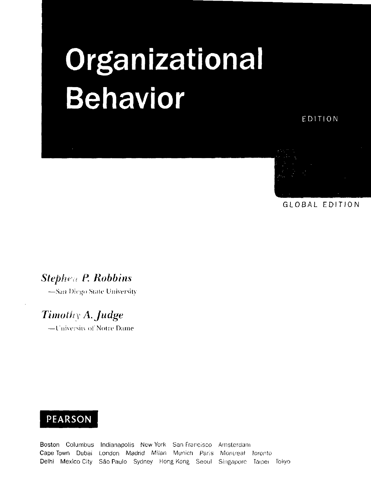# **Organizational** Behavior

EDITION



GLOBAL EDITION

### *Stephen* P. *Robbins*

—S*nn* Dirijo Niak' University

# *Timothy A.Judge*

-University of Notre Dame

### PEARSON

Boston Columbus Indianapolis New York San Francisco Amsterdam Cape Town Dubai London Madrid Milan Munich Paris Montreal Toronto Delhi Mexico City Säo Paulo Sydney Hong Kong Seoul Singapore Taipei Tokyo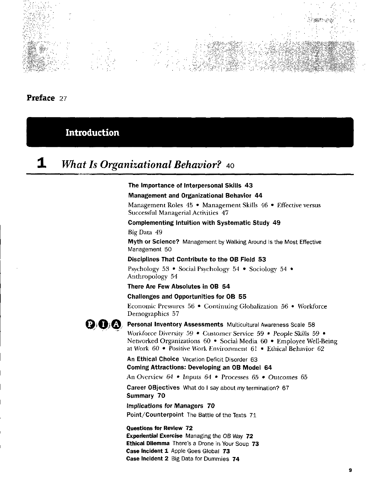

Preface *21* 

Introduction

# 1 *What Is Organizational Behavior?* <sup>40</sup>

#### The Importance of interpersonal Skills 43

#### Management and Organizational Behavior 44

Management Roles 45 · Management Skills 46 · Effective versus Successful Managerial Activities 47

#### Complementing Intuition with Systematic Study 49

Big Data 49

Myth or Science? Management by Walking Around Is the Most Effective Management 50

#### Oisciplines That Contribute to the OB Field 53

Psychology 53 • Social Psychology 54 • Sociology 54 • Anthropology 54

#### There Are Few Absolutes in OB 54

#### Challenges and Opportunities for OB 55

Economic Pressures 56 • Continuing Globalization 56 • Workforce Demographics 57



 $\mathbf{Q}$  O<sub>i</sub> $\mathbf{Q}$  Personal Inventory Assessments Multicultural Awareness Scale 58

Workforce Diversity 59 • Customer Service 59 • People Skills 59 • Networked Organizations 60 • Social Media 60 • Employee Well-Being at Work 60 • Positive Work Environment 61 • Ethical Behavior 62

An Ethical Choice Vacation Deficit Disorder 63 Coming Attractions: Developing an OB Model 64

An Overview 64 *•* Jnputs 64 • Processes 65 • Outcomes 65

Career OBjectives What do I say about my termination? 67 Summary 70

tmplications for Managers 70 Point/Counterpoint The Battie of the Texts 71

Questions for Review 72 Experiential Exercise Managing the OB Way 72 Ethical Dilemma There's a Drone in Your Soup 73 Case Incident 1 Apple Goes Global 73 Gase Incident 2 Big Data for Dummies 74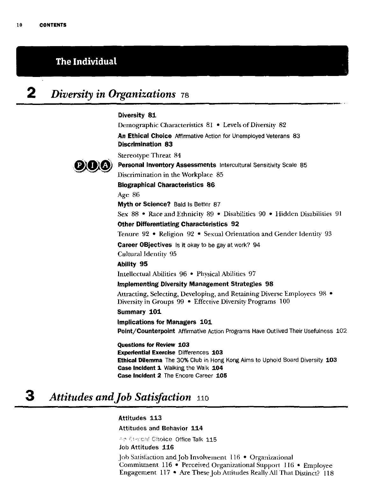### The Individual

# 2 *Diversity in Organizations* <sup>78</sup>

#### Diversity 81

Demographic Characteristics 81 • Levels of Diversity 82 An Ethical Choice Affirmative Action for Unemployed Veterans 83 Discrimination 83 Stereotype Threat 84 Personal Inventory Assessments Intercultural Sensitivity Scale 85 Discrimination in the Workplace 85 Biographical Characteristics 86 Age 86 Myth or Science? Bald Is Better 87 Sex 88 • Race and Ethnicity 89 • Disabilities 90 • Hidden Disabilities 91 Other Differentiating Characteristics 92 Tenure 92 • Religion 92 • Sexual Orientation and Gender Identity 93 Career OBjectives Is it okay to be gay at work? 94 Cultural Identity 95 Ability 95 Intellectual Abilities 96 • Physical Abilities 97 Implementing Diversity Management Strategies 98 Attracting, Selecting, Developing, and Retaining Diverse Employees 98 • Diversity in Groups 99 • Effeetive Diversity Programs 100 Summary 101 Impiications for Managers 101 Point/Counterpoint Affirmative Action Programs Have Outlived Their Usefulness 102 Questions for Review 103 Experiential Exercise Differences 103 Ethical Dilemma The 30% Club in Hong Kong Aims to Uphold Board Diversity 103

Case Incident 1 Walking the Walk 104 Gase Incident 2 The Encore Career 105

# 3 *Attitudes andJob Satisfaction* <sup>110</sup>

Attitudes 113

Attitudes and Behavior 114

**An Exercal Choice Office Talk 115** 

Job Attitudes 116

Job Satisfaction and Job Involvement 116 • Organizational Commitment 116 • Perceived Organizational Support 116 • Employee Engagement 117 • Are These Job Attitudes Really All That Distinct? 118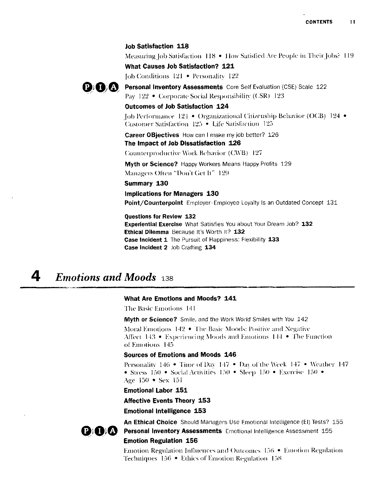#### Job Satisfaction 118

Measuring Job Satisfaction 118 • How Satisfied Are People in Their Jobs? 119

What Causes Job Satisfaction? 121

Job Conditions 121 • Personality 122



Personal Inventory Assessments Core Self Evaluation (CSE) Scale 122 Pay 122 • Corporate Social Responsibilitv (CSR) 123

#### Outcomes of Job Satisfaction 124

Job Performance 124 • Organizational Citi/enship Behavior (OCB) 124 • Customer Satisfaction 123 • Life Satisfaction 125

**Career OBjectives** How can I make my job better? 126 The Impact of Job Dissatisfaction 126

Counterproductive Work Behavior (CWB) 127

Myth or Science? Happy Workers Means Happy Profits 129 Managers Ölten "Don't Get Ii" 129

#### Summary 130

Impllcations for Managers 130

Point/Counterpoint Employer-Employee loyalty Is an Outdated Concept 131

Questions for Review 132

Experiential Exercise What Satisfies You about Your Dream Job? 132 Ethical Dilemma Because It's Worth It? 132 Case Incident 1 The Pursuit of Happiness: Flexibility 133 Case Incident 2 Job Crafting 134

### 4 *Emotions and Moods* <sup>138</sup>

#### What Are Emotions and Moods? 141

The Basic Kinotions 141

Myth or Science? Smile. and the Work World Smiles with You 142

Moral Kinotions 142 • The Basic Moods: Positive and Negative Affect  $143 \div$  Experiencing Moods and Emotions  $144 \div$  The Function of Emotions 145

#### Sources of Emotions and Moods 146

Personality 146 • Time of Dav 147 • Da\ of the Weck 147 • Weather 147 • Stress 150 • Social Acti\ities 150 • Sleep 150 • Kxercise 150 • Age 150 • Sex 151

Emotional Labor 151

Affective Events Theory 153

Emotional Intelligence 153



An Ethical Choice Should Managers Use Emotional Intelligence (El) Tests? 155 Personal Inventory Assessments Emotional Intelligence Assessment 155 Emotion Regulation 156

F.motion Regulation Indnences and Outcomes 156 • Kmotion Regulation Techniques 156 • Ethics of Emotion Regulation 158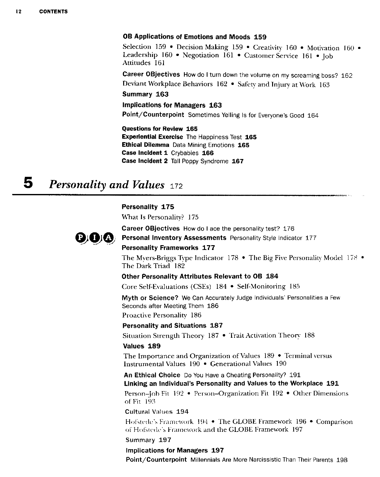#### OB Applications of Emotione and Moods 159

Selection 159 • Decision Making 159 • Creativity 160 • Motivation 160 • Leadership 160 • Negotiation 161 • Customer Service 161 • Job Attitudes 161

Career OBjectives How do I turn down the volume on my screaming boss? 162 Deviant Workplace Behaviors 162 • Safety and Injurv at Work 163

#### Summary 163

### Impiications for Managers 163

Point/Counterpoint Sometimes Yelling Is for Everyone's Good 164

Questions for Review 165 Experiential Exercise The Happiness Test 165 Ethical Dilemma Data Mining Emotions 165 Case Incident 1 Crybabies 166 Case Incident 2 Tall Poppy Syndrome 167

# 5 *Personality and Values* <sup>172</sup>

#### Personality 175

What Is Personality? 175

000

Career OBjectives How do I ace the personality test? 176 Personal Inventory Assessments Personality Style Indicator 177

#### Personality Frameworks 177

The Myers-Briggs Type Indicator 178 • The Big Five Personality Model 178 • The Dark Triad 182

#### Other Personality Attributes Relevant to OB 184

Core Self-Evaluations (CSEs) 184 • Self-Monitoring 185

Myth or Science? We Can Accurately Judge Individuais' Personalities a Few Seconds after Meeting Them 186

Proactive Personality 186

#### Personality and Situations 187

Situation Strength Theory 187 • Trait Activation Theory 188

#### Values 189

The Importance and Organization of Values 189 • Terminal versus Instrumental Values 190 • Generational Values 190

An Ethical Choice Do You Have a Cheating Personality? 191 Linking an Individual's Personality and Values to the Workplace 191

Person-Job Fit 192 • Person-Organization Fit 192 • Other Dimensions of Fit 193

Cuitural Values 194

Hofstede \ Framework 194 • The GLOBE Framework 196 • Comparison of Hofstede's Framework and the GLOBE Framework 197

#### Summary 197

#### Impiications for Managers 197

Point/Counterpoint Millenniais Are More Narcissistic Than Their Parents 198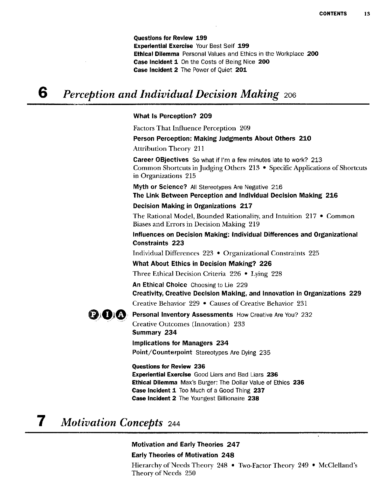Questions for Review 199 Experiential Exercise Your Best Seif 199 Ethical Dilemma Personal Values and Ethics in the Workplace 200 Case Incident 1 On the Costs of Being Nice 200 Case Incident 2 The Power of Quiet 201

#### 6 *Perception and Individual Decision Making* <sup>206</sup>

#### What Is Perception? 209

Factors That Influence Perception 209

Person Perception: Making Judgments About Others 210

Attribution Theory 211

Career OBjectives So what if I'm a few minutes late to work? 213 Common Shortcuts in Judging Others  $213$  • Specific Applications of Shortcuts in Organizations 215

Myth or Science? All Stereotypes Are Negative 216 The Link Between Perception and individual Decision Making 216

#### Decision Making in Organizations 217

The Rational Model, Bounded Rationality, and Intuition 217 • Common Biases and Errors in Decision Making 219

Influences on Decision Making: individual Differences and Organizational Constraints 223

Individual Differences 223 • Organizational Constraints 225

What About Ethics in Decision Making? 226

Three Ethical Decision Criteria 226 • Lying 228

An Ethical Choice Choosing to Lie 229 Creativity, Creative Decision Making, and Innovation in Organizations 229 Creative Behavior 229 • Causes of Creative Behavior 231



Creative Outcomes (Innovation) 233 Summary 234

### Implications for Managers 234

Point/Counterpoint Stereotypes Are Dying 235

#### Questions for Review 236

Experiential Exercise Good Liars and Bad Liars 236 Ethical Dilemma Max's Burger: The Dollar Value of Ethics 236 Case incident 1 Too Much of a Good Thing 237 Gase Incident 2 The Youngest Billionaire 238

### *7 Motivation Concepts* <sup>244</sup>

#### Motivation and Early Theories 247

#### Early Theories of Motivation 248

Hierarchy of Needs Theory 248 • Two-Factor Theory 249 • McClelland's Theory of Needs 250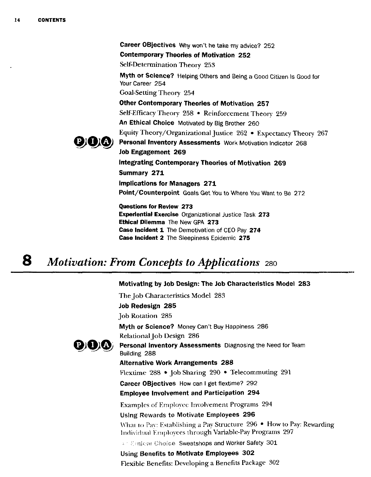Career OBjectives Why won't he take my advice? 252 Contemporary Theories of Motivation 252 Self-Determination Theory 253 Myth or Science? Helping Others and Being a Good Citizen Is Good for Your Career 254 Goal-Setting Theory 254 Other Contemporary Theories of Motivation 257 Self-Efficacy Theory 258 • Reinforcement Theory 259 An Ethical Choice Motivated by Big Brother 260 Equity Theory/Organizational Justice 262 • Expectancy Theory 267 Personal Inventory Assessments Work Motivation Indicator 268 Job Engagement 269 integrating Contemporary Theories of Motivation 269 Summary 271 impiications for Managers 271 Point/Counterpoint Goals Get You to Where You Want to Be 272 Questions for Review 273 Experientiai Exercise Organizational Justice Task 273 Ethical Dilemma The New GPA 273

Case Incident 1 The Demotivation of CEO Pay 274 Case Incident 2 The Sieepiness Epidemic 275

# **8** *Motivation: From Concepts to Applications* 280

#### Motivating by Job Design: The Job Characteristics Model 283

The Job Characteristics Model 283 Job Redesign 285 Job Rotation 285 Myth or Science? Money Can't Buy Happiness 286 Relational job Design 286  $\mathbf{Q}(\mathbf{G})$  Personal Inventory Assessments Diagnosing the Need for Team Building 288 Alternative Work Arrangements 288 Flexüme 288 • Job Sharing 290 • Telecommuting 291 Career OBjectives How can I get flextime? 292 Employee Invoivement and Participation 294 Examples of Employee Involvement Programs 294 Using Rewards to Motivate Employees 296 What to Pav: Establishing a Pay Structure 296 • How to Pay: Rewarding Individual Employees through Variable-Pay Programs 297  $\times$  Choice Sweatshops and Worker Safety 301 Using Benefits to Motivate Employees 302 Flexible Benefits: Developing a Benefits Package 302



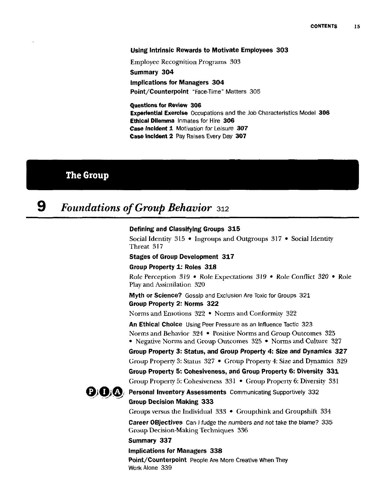#### Using Intrinsic Rewards to Motivate Employees 303

Employee Recognition Programs 303

Summary 304

Implications for Managers 304 Point/Counterpoint "Face-Time" Matters 305

Questions for Review 306 Experiential Exercise Occupations and the Job Characteristics Model 306 Ethical Dilemma Inmates for Hire 306 Case Incident 1 Motivation for Leisure 307 Case Incident 2 Pay Raises Every Day 307

### The Group

### 9 *Foundations of Group Behavior* <sup>312</sup>

#### Defining and Classifying Groups 315

Social Identity 315 • Ingroups and Outgroups 317 • Social Identity Threat 317

#### Stages of Group Development 317

#### Group Property 1: Roles 318

Role Perception 319 • Rofe Expectations 319 • Role Conflict *320 •* Role Play and Assimilation 320

Myth or Science? Gossip and Exclusion Are Toxic for Groups 321 Group Property 2: Norme 322

Norms and Emotions 322 • Norms and Conformity 322

An Ethical Choice Using Peer Pressure as an Influence Tactic 323 Norms and Behavior 324 • Positive Norms and Group Outcomes 325 • Negative Norms and Group Outcomes 325 • Norms and Culture 327

Group Property 3: Status, and Group Property 4: Size and Dynamics 327 Group Property 3: Status 327 • Group Property 4: Size and Dynamics 329 Group Property 5: Cohesiveness, and Group Property 6: Diversity 331

Group Property 5: Cohesiveness 331 • Group Property 6: Diversity 331



**QiOi**  $\bullet$  **Personal Inventory Assessments** Communicating Supportively 332 Group Decision Making 333

Groups versus the Individual 333 • Groupthink and Groupshift 334

Career OBjectives Can I fudge the numbers and not take the blame? 335 Group Decision-Making Techniques 336

#### Summary 337

#### Implications for Managers 338

Point/Counterpoint People Are More Creative When They Work Alone 339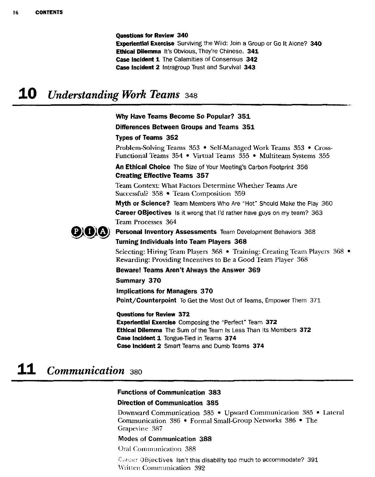Questions for Review 340 **Experiential Exercise** Surviving the Wild: Join a Group or Go It Alone? 340 Ethical Dilemma It's Obvious, They're Chinese. 341 Case Incident 1 The Calamities of Consensus 342 Case Incident 2 Intragroup Trust and Survival 343

### 10 *Understanding Work Teams* <sup>348</sup>

#### Why Have Teams Become So Populär? 351

#### Differences Between Croups and Teams 351

#### Types of Teams 352

Problem-Solving Teams 353 • Self-Managed Work Teams 353 • Cross-Functional Teams 354 • Virtual Teams 355 • Multiteam Systems 355

An Ethical Choice The Size of Your Meeting's Carbon Footprint 356 Creating Effective Teams 357

Team Context: What Factors Determine Whether Teams Are Successful? 358 • Team Composition 359

Myth or Science? Team Members Who Are "Hot" Should Make the Play 360 Career OBjectives Is it wrong that I'd rather have guys on my team? 363 Team Processes 364



#### Personal Inventory Assessments Team Development Behaviors 368 Turning Individuais into Team Players 368

Selecting: Hiring Team Players 368 • Training: Creating Team Players 368 • Rewarding: Providing Incentives to Be a Good Team Player 368

Beware! Teams Aren't Always the Answer 369

#### Summary 370

Impiications for Managers 370 Point/Counterpoint To Get the Most Out of Teams, Empower Them 371

Questions for Review 372

Experiential Exercise Composing the "Perfect" Team 372 Ethical Dilemma The Sum of the Team Is Less Than Its Members 372 Case Incident 1 Tongue-Tied in Teams 374 Case Incident 2 Smart Teams and Dumb Teams 374

### H *Communication* <sup>380</sup>

#### Functions of Communication 383

#### Direction of Communication 385

Down ward Communication 385 • Upward Communication 385 • Lateral Communication 386 • Formal Small-Group Networks 386 • The Grapevine 387

#### Modes of Communication 388

Oral Communication 388

Carcer OBjectives Isn't this disability too much to accommodate? 391 Written Communication 392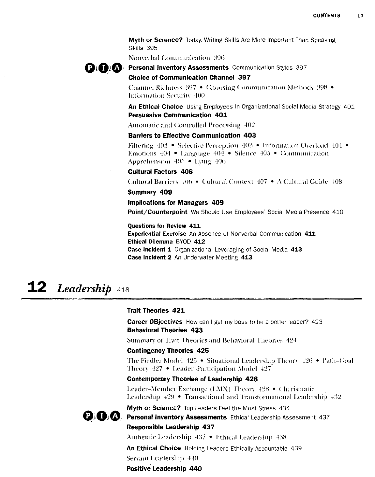Myth or Science? Today. Writing Skills Are More Important Than Speaking Skills 395

Nonverbal Conmiunication 390



#### Choice of Communication Channel 397

Channel Richness 397 • Choosing Communication Meihods 398 • Information Securitv 400

An Ethical Choice Using Employees in Organizational Social Media Strategy 401 Persuasive Communication 401

Automatic and Conirolled Processing 402

#### Barriers to Effective Communication 403

Filtering 403 • Selectivc Perception 403 • Information Overload 404 • Emotions 404 • Eanguage 404 • Silence 405 • Communication Apprehension  $405 \div$  Lying  $406$ 

#### Cultural Factors 406

Cultmal Barriers 406 • Cultural Context 407 • A Cultural Guide 408

#### Summary 409

#### Implications for Managers 409

Point/Counterpoint We Should Use Employees' Social Media Presence 410

#### Questions for Review 411

Experiential Exercise An Absence of Nonverbal Communication 411 Ethical Dilemma BYOD 412 Case Incident 1 Organizational Leveraging of Social Media 413 Case Incident 2 An Underwater Meeting 413

# **12** *Leadership* 418

#### Trait Theories 421

Career OBjectives How can I get my boss to be a better leader? 423 Behaviorai Theories 423

Summary of Trait Theories and Behaviorai Theories 424

#### Contingency Theories 425

The Fiedler Model 425 • Situational Eeadership Theory 420 • Path-Goal Theory 427 • Leader-Participation Model 427

#### Contemporary Theories of Leadership 428

Eeader-Member Exchange (EMX) Thenn 42% • Charismatic l eadership 429 • Transactional and Transformational Eeadership 432



Myth or Science? Top Leaders Feel the Most Stress 434

**DIO** Personal Inventory Assessments Ethical Leadership Assessment 437 Responsible Leadership 437

Authentic Eeadership 437 • Ethical Eeadership 438

An Ethical Choice Holding Leaders Ethically Accountable 439 Servant Eeadership 440

#### Positive Leadership 440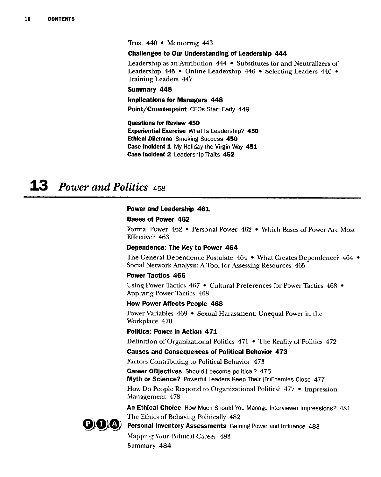Trust 440 • Mentoring 443

#### Chalienges to Our Understanding of Leadership 444

Leadership as an Attribution 444 • Substitutes for and Neutralizers of Leadership 445 • Online Leadership 446 • Selecting Leaders 446 • Training Leaders 447

#### Summary 448

#### impiications for Managers 448

Point/Counterpoint CEOs Start Early 449

#### Questions for Review 450

Experiential Exercise What Is Leadership? 450 Ethical Dilemma Smoking Success 450 Case Incident 1 My Holiday the Virgin Way 451 Case Incident 2 Leadership Traits 452

### 13 *Power and Politics* <sup>458</sup>

#### Power and Leadership 461

#### Bases of Power 462

Formal Power 462 • Personal Power 462 • Which Bases of Power Are Most Effective? 463

#### Dependence: The Key to Power 464

The General Dependence Postulate 464 • What Creates Dependence? 464 • Social Network Analysis: A Tool for Assessing Resources 465

#### Power Tactics 466

Using Power Tactics 467 • Cultural Preferences for Power Tactics 468 • Applying Power Tactics 468

#### How Power Affects People 468

Power Variables 469 • Sexual Harassment: Unequal Power in the Workplace 470

#### Politics: Power in Action 471

Definition of Organizational Politics 471 • The Reality of Politics 472

#### Causes and Consequences of Political Behavior 473

Factors Contributing to Political Behavior 473

Career OBjectives Should I become political? 475

Myth or Science? Powerful Leaders Keep Their (Fr)Enemies Close 477

How Do People Respond to Organizational Politics? 477 • Impression Management 478

An Ethical Choice How Much Should You Manage Interviewer Impressions? 481 The Ethics of Behaving Politically 482



Personal Inventory Assessments Gaining Power and Influence 483

MappingYour Political Career 483 Summary 484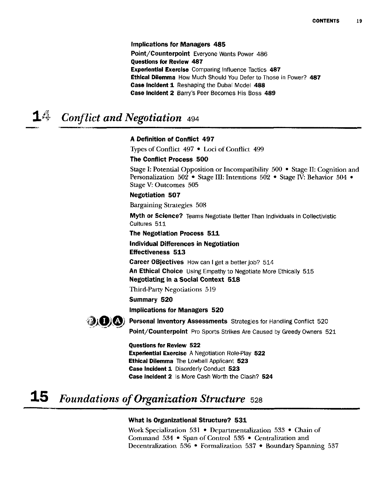#### implications for Managers 485

Point/Counterpoint Everyone Wants Power 486 Questions for Review 487 Experiential Exercise Comparing Influence Tactics 487 Ethical Dilemma How Much Should You Deferto Those in Power? 487 Case Incident 1 Reshaping the Dubai Model 488 Case Incident 2 Barry's Peer Becomes His Boss 489

### 1# *Conflict and Negotiation* <sup>494</sup>

#### A Definition of Conflict 497

Types of Conflict 497 • Loci of Conflict 499

#### The Conflict Process 500

Stage I: Potential Opposition or Incompatibility 500 • Stage II: Cognition and Personalization 502 • Stage III: Intentions 502 • Stage IV: Behavior 504 • Stage V: Outcomes 505

#### Negotiation 507

Bargaining Strategies 508

Myth or Science? Teams Negotiate Better Than Individuais in Collectivistic Cultures 511

The Negotiation Process 511

Individual Differences in Negotiation

### Effectiveness 513

Career OBjectives How can I get a better job? 514

An Ethical Choice Using Empathy to Negotiate More Ethically 515

### Negotiating in a Social Context 518

Third-Party Negotiations 519

#### Summary 520

Implications for Managers 520



Personal Inventory Assessments Strategies for Handling Conflict 520 Point/Counterpoint Pro Sports Strikes Are Caused by Greedy Owners 521

Questions for Review 522 Experiential Exercise A Negotiation Role-Play 522 Ethical Dilemma The Lowball Applicant 523 Case Incident 1 Disorderly Conduct 523 Case Incident 2 Is More Cash Worth the Clash? 524

#### 15 *Foundations of Organization Structure* <sup>528</sup>

#### What is Organizational Structure? 531

Work Specialization 531 • Departmentalization 533 • Chain of Command 534 • Span of Control 535 • Centralization and Decentralization 536 • Formalization 537 • Boundary Spanning 537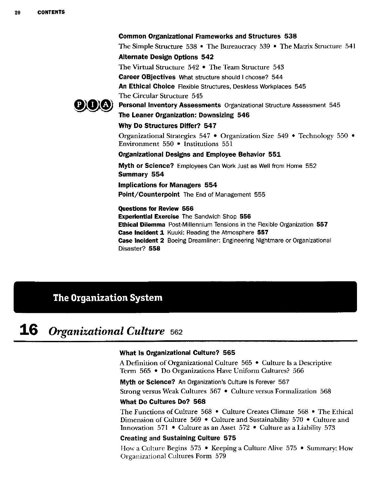#### Common Organizational Frameworks and Structures 538

The Simple Structure 538 • The Bureaucracy 539 • The Matrix Structure 541 Alternate Design Options 542 The Virtual Structure 542 • The Team Structure 543

Career OBjectives What structure should I choose? 544

An Ethical Choice Flexible Structures, Deskless Workplaces 545

The Circular Structure 545



Personal Inventory Assessments Organizational Structure Assessment 545 The Leaner Organization: Downsizing 546

#### Why Do Structures Differ? 547

Organizational Strategies 547 • Organization Size 549 • Technology 550 • Environment 550 • Institutions 551

#### Organizational Designs and Employee Behavior 551

Myth or Science? Employees Can Work Just as Well from Home 552 Summary 554

#### Impiications for Managers 554

Point/Counterpoint The End of Management 555

Questions for Review 556 Experiential Exercise The Sandwich Shop 556 Ethical Dilemma Post-Millennium Tensions in the Flexible Organization 557 Case Incident 1 Kuuki: Reading the Atmosphere 557 Case Incident 2 Boeing Dreamliner: Engineering Nightmare or Organizational Disaster? 558

### The Organization System

### 16 *Organizational Culture* <sup>562</sup>

#### What Is Organizational Culture? 565

A Definition of Organizational Culture 565 • Culture Is a Descriptive Term 565 • Do Organizations Have Uniform Cultures? 566

Myth or Science? An Organization's Culture Is Forever 567

Strong versus Weak Cultures 567 • Culture versus Formalization 568

#### What Do Cultures Do? 568

The Functions of Culture  $568 \cdot$  Culture Creates Climate  $568 \cdot$  The Ethical Dimension of Culture 569 • Culture and Sustainability 570 • Culture and Innovation 571 • Culture as an Asset 572 • Culture as a Liability 573

#### Creating and Sustaining Culture 575

How a Culture Begins 575 • Keeping a Culture Alive 575 • Summary: How Organizational Cultures Form 579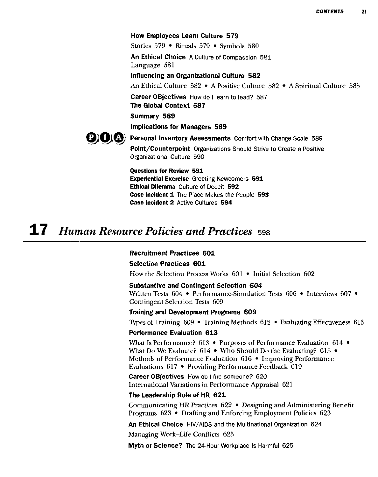#### How Employees Learn Culture 579

Stories 579 \* Rituals 579 • Symbols 580

An Ethical Choice A Culture of Compassion 581 Language 581

Influencing an Organizational Culture 582

An Ethical Culture 582 • A Positive Culture 582 • A Spiritual Culture 585

Career OBjectives How do I learn to lead? 587 The Global Context 587

Summary 589

#### Implications for Managers 589



Personal Inventory Assessments Comfort with Change Scale 589

Point/Counterpoint Organizations Shouid Strive to Create a Positive Organizational Culture 590

Questions for Review 591 Experiential Exercise Greeting Newcomers 591 Ethical Dilemma Culture of Deceit 592 Case Incident 1 The Place Makes the People 593 Case Incident 2 Active Cultures 594

### 17 *Human Resource Policies and Practices* <sup>598</sup>

#### Recruitment Practices 601

#### Selection Practices 601

How the Selection Process Works 601 • Initial Selection 602

#### Substantive and Contingent Selection 604 Written Tests 604 • Performance-Simulation Tests 606 • Interviews 607 • Contingent Selection Tests 609

#### Training and Development Programs 609

Types of Training 609 • Training Methods 612 • Evaluating Effectiveness 613

#### Performance Evaluation 613

What Is Performance? 613 • Purposes of Performance Evaluation 614 • What Do We Evaluate?  $614 \cdot$  Who Should Do the Evaluating?  $615 \cdot$ Methods of Performance Evaluation 616 • Improving Performance Evaluations 617 • Providing Performance Feedback 619

Career OBjectives How do I fire someone? 620 International Variations in Performance Appraisal 621

#### The Leadership Role of HR 621

Communicating HR Practices 622 • Designing and Administering Benefit Programs 623 • Drafting and Enforcing Employment Policies 623

An Ethical Choice HIV/AIDS and the Multinational Organization 624

Managing Work—Life Conflicts 625

Myth or Science? The 24-Hour Workplace Is Harmful 625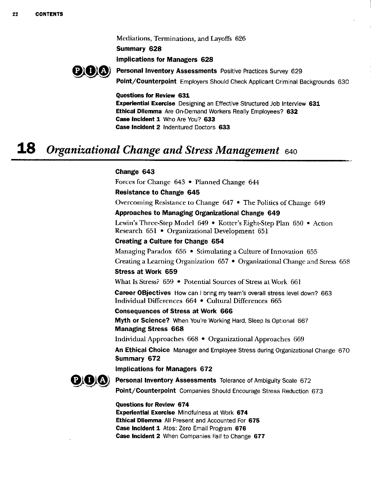Mediations, Terminations, and Layoffs 626

Summary 628

Impiications for Managers 628



Personal Inventory Assessments Positive Practices Survey 629 Point/Counterpoint Employers Should Check Applicant Criminal Backgrounds 630

#### Questions for Review 631

Experiential Exercise Designing an Effective Structured Job Interview 631 Ethical Dilemma Are On-Demand Workers Really Employees? 632 Case Incident 1 Who Are You? 633 Case Incident 2 Indentured Doctors 633

### 18 *Organizational Change and Stress Management* <sup>640</sup>

#### Change 643

Forces for Change 643 • Planned Change 644

#### Resistance to Change 645

Overcoming Resistance to Change 647 • The Politics of Change 649

#### Approaches to Managing Organizational Change 649

Lewin's Three-Step Model 649 • Kotter's Eight-Step Plan 650 • Action Research 651 • Organizational Development 651

#### Creating a Culture for Change 654

Managing Paradox 655 • Stimulating a Culture of Innovation 655 Creating a Leaming Organization 657 • Organizational Change and Stress 658

#### Stress at Work 659

What Is Stress? 659 • Potential Sources of Stress at Work 661

Career OBjectives How can I bring my team's overall stress level down? 663 Individual Differences 664 • Cultural Differences 665

#### Consequences of Stress at Work 666

Myth or Science? When You're Working Hard, Sleep Is Optional 667 Managing Stress 668

Individual Approaches 668 • Organizational Approaches 669

An Ethical Choice Manager and Employee Stress during Organizational Change 670 Summary 672

#### Impiications for Managers 672



Personal Inventory Assessments Tolerance of Ambiguity Scale 672 Point/Counterpoint Companies Should Encourage Stress Reduction 673

#### Questions for Review 674

Experiential Exercise Mindfulness at Work 674 Ethical Dilemma All Present and Accounted For 675 Case Incident 1 Atos: Zero Email Program 676 Case Incident 2 When Companies Fall to Change 677